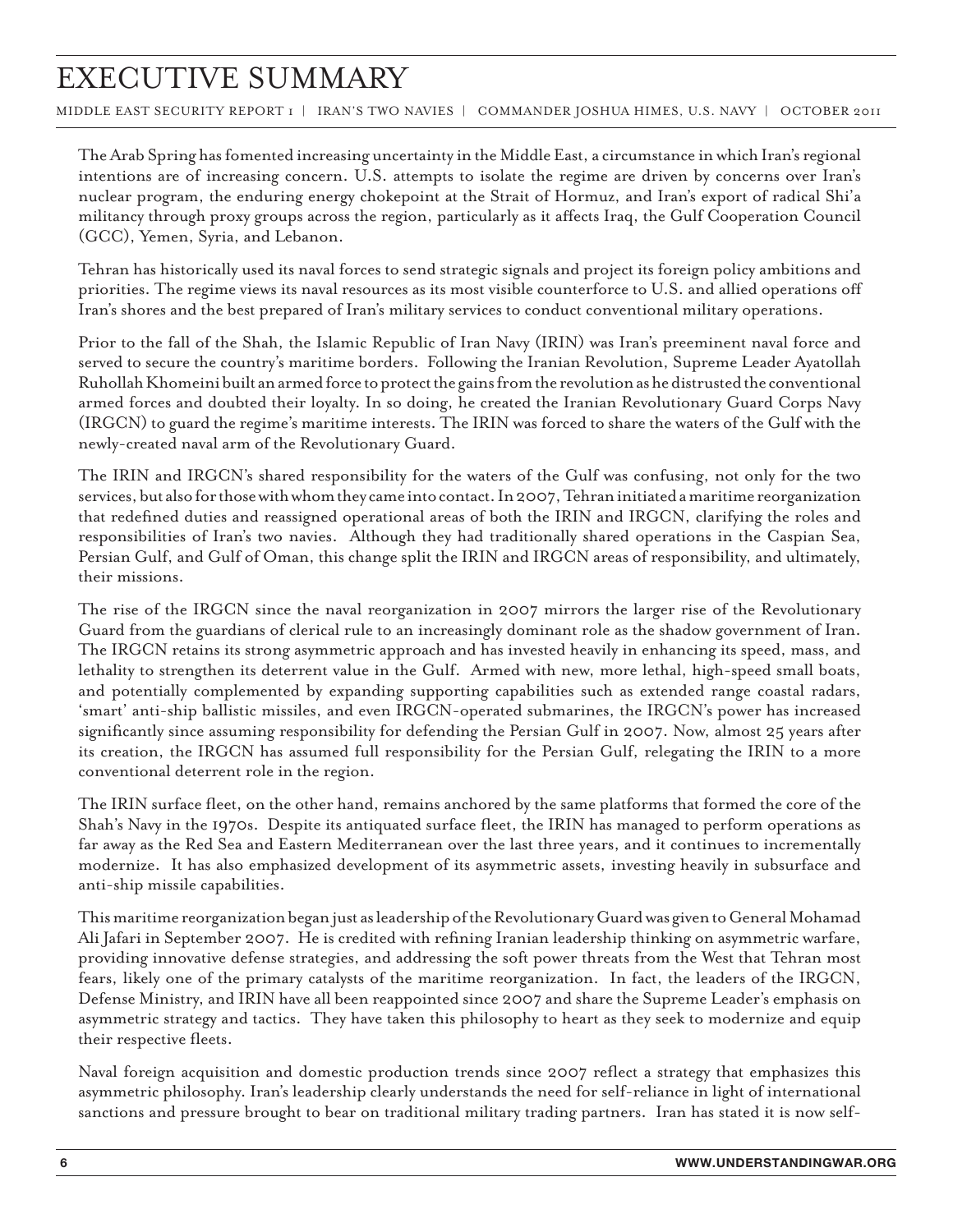## Executive Summary

middle east security report 1 | iran's two navies | commander joshua Himes, U.S. Navy | october 2011

The Arab Spring has fomented increasing uncertainty in the Middle East, a circumstance in which Iran's regional intentions are of increasing concern. U.S. attempts to isolate the regime are driven by concerns over Iran's nuclear program, the enduring energy chokepoint at the Strait of Hormuz, and Iran's export of radical Shi'a militancy through proxy groups across the region, particularly as it affects Iraq, the Gulf Cooperation Council (GCC), Yemen, Syria, and Lebanon.

Tehran has historically used its naval forces to send strategic signals and project its foreign policy ambitions and priorities. The regime views its naval resources as its most visible counterforce to U.S. and allied operations off Iran's shores and the best prepared of Iran's military services to conduct conventional military operations.

Prior to the fall of the Shah, the Islamic Republic of Iran Navy (IRIN) was Iran's preeminent naval force and served to secure the country's maritime borders. Following the Iranian Revolution, Supreme Leader Ayatollah Ruhollah Khomeini built an armed force to protect the gains from the revolution as he distrusted the conventional armed forces and doubted their loyalty. In so doing, he created the Iranian Revolutionary Guard Corps Navy (IRGCN) to guard the regime's maritime interests. The IRIN was forced to share the waters of the Gulf with the newly-created naval arm of the Revolutionary Guard.

The IRIN and IRGCN's shared responsibility for the waters of the Gulf was confusing, not only for the two services, but also for those with whom they came into contact. In 2007, Tehran initiated a maritime reorganization that redefined duties and reassigned operational areas of both the IRIN and IRGCN, clarifying the roles and responsibilities of Iran's two navies. Although they had traditionally shared operations in the Caspian Sea, Persian Gulf, and Gulf of Oman, this change split the IRIN and IRGCN areas of responsibility, and ultimately, their missions.

The rise of the IRGCN since the naval reorganization in 2007 mirrors the larger rise of the Revolutionary Guard from the guardians of clerical rule to an increasingly dominant role as the shadow government of Iran. The IRGCN retains its strong asymmetric approach and has invested heavily in enhancing its speed, mass, and lethality to strengthen its deterrent value in the Gulf. Armed with new, more lethal, high-speed small boats, and potentially complemented by expanding supporting capabilities such as extended range coastal radars, 'smart' anti-ship ballistic missiles, and even IRGCN-operated submarines, the IRGCN's power has increased significantly since assuming responsibility for defending the Persian Gulf in 2007. Now, almost 25 years after its creation, the IRGCN has assumed full responsibility for the Persian Gulf, relegating the IRIN to a more conventional deterrent role in the region.

The IRIN surface fleet, on the other hand, remains anchored by the same platforms that formed the core of the Shah's Navy in the 1970s. Despite its antiquated surface fleet, the IRIN has managed to perform operations as far away as the Red Sea and Eastern Mediterranean over the last three years, and it continues to incrementally modernize. It has also emphasized development of its asymmetric assets, investing heavily in subsurface and anti-ship missile capabilities.

This maritime reorganization began just as leadership of the Revolutionary Guard was given to General Mohamad Ali Jafari in September 2007. He is credited with refining Iranian leadership thinking on asymmetric warfare, providing innovative defense strategies, and addressing the soft power threats from the West that Tehran most fears, likely one of the primary catalysts of the maritime reorganization. In fact, the leaders of the IRGCN, Defense Ministry, and IRIN have all been reappointed since 2007 and share the Supreme Leader's emphasis on asymmetric strategy and tactics. They have taken this philosophy to heart as they seek to modernize and equip their respective fleets.

Naval foreign acquisition and domestic production trends since 2007 reflect a strategy that emphasizes this asymmetric philosophy. Iran's leadership clearly understands the need for self-reliance in light of international sanctions and pressure brought to bear on traditional military trading partners. Iran has stated it is now self-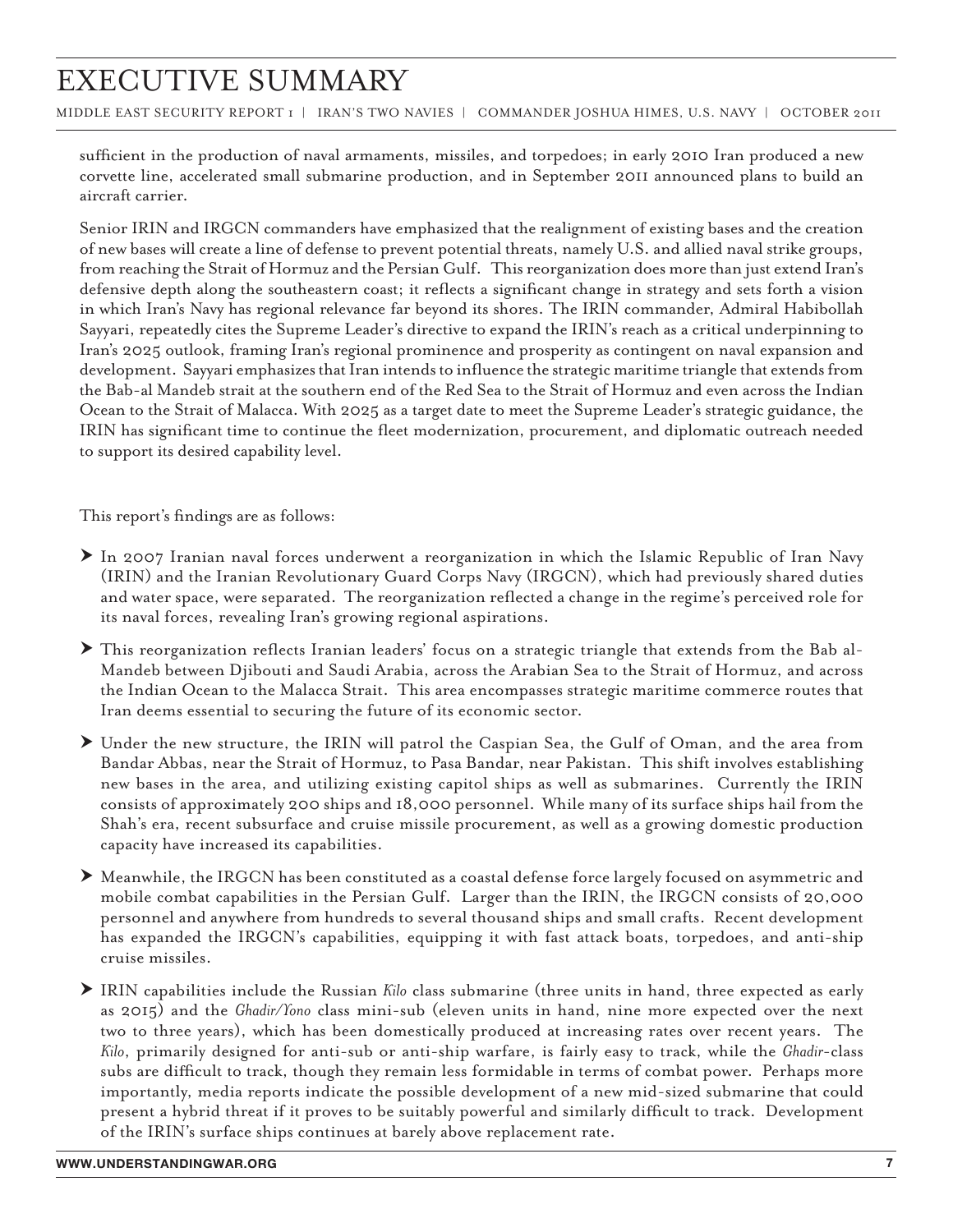## Executive Summary

middle east security report 1 | iran's two navies | commander joshua Himes, U.S. Navy | october 2011

sufficient in the production of naval armaments, missiles, and torpedoes; in early 2010 Iran produced a new corvette line, accelerated small submarine production, and in September 2011 announced plans to build an aircraft carrier.

Senior IRIN and IRGCN commanders have emphasized that the realignment of existing bases and the creation of new bases will create a line of defense to prevent potential threats, namely U.S. and allied naval strike groups, from reaching the Strait of Hormuz and the Persian Gulf. This reorganization does more than just extend Iran's defensive depth along the southeastern coast; it reflects a significant change in strategy and sets forth a vision in which Iran's Navy has regional relevance far beyond its shores. The IRIN commander, Admiral Habibollah Sayyari, repeatedly cites the Supreme Leader's directive to expand the IRIN's reach as a critical underpinning to Iran's 2025 outlook, framing Iran's regional prominence and prosperity as contingent on naval expansion and development. Sayyari emphasizes that Iran intends to influence the strategic maritime triangle that extends from the Bab-al Mandeb strait at the southern end of the Red Sea to the Strait of Hormuz and even across the Indian Ocean to the Strait of Malacca. With 2025 as a target date to meet the Supreme Leader's strategic guidance, the IRIN has significant time to continue the fleet modernization, procurement, and diplomatic outreach needed to support its desired capability level.

This report's findings are as follows:

- h In 2007 Iranian naval forces underwent a reorganization in which the Islamic Republic of Iran Navy (IRIN) and the Iranian Revolutionary Guard Corps Navy (IRGCN), which had previously shared duties and water space, were separated. The reorganization reflected a change in the regime's perceived role for its naval forces, revealing Iran's growing regional aspirations.
- h This reorganization reflects Iranian leaders' focus on a strategic triangle that extends from the Bab al-Mandeb between Djibouti and Saudi Arabia, across the Arabian Sea to the Strait of Hormuz, and across the Indian Ocean to the Malacca Strait. This area encompasses strategic maritime commerce routes that Iran deems essential to securing the future of its economic sector.
- h Under the new structure, the IRIN will patrol the Caspian Sea, the Gulf of Oman, and the area from Bandar Abbas, near the Strait of Hormuz, to Pasa Bandar, near Pakistan. This shift involves establishing new bases in the area, and utilizing existing capitol ships as well as submarines. Currently the IRIN consists of approximately 200 ships and 18,000 personnel. While many of its surface ships hail from the Shah's era, recent subsurface and cruise missile procurement, as well as a growing domestic production capacity have increased its capabilities.
- h Meanwhile, the IRGCN has been constituted as a coastal defense force largely focused on asymmetric and mobile combat capabilities in the Persian Gulf. Larger than the IRIN, the IRGCN consists of 20,000 personnel and anywhere from hundreds to several thousand ships and small crafts. Recent development has expanded the IRGCN's capabilities, equipping it with fast attack boats, torpedoes, and anti-ship cruise missiles.
- h IRIN capabilities include the Russian *Kilo* class submarine (three units in hand, three expected as early as 2015) and the *Ghadir/Yono* class mini-sub (eleven units in hand, nine more expected over the next two to three years), which has been domestically produced at increasing rates over recent years. The *Kilo*, primarily designed for anti-sub or anti-ship warfare, is fairly easy to track, while the *Ghadir*-class subs are difficult to track, though they remain less formidable in terms of combat power. Perhaps more importantly, media reports indicate the possible development of a new mid-sized submarine that could present a hybrid threat if it proves to be suitably powerful and similarly difficult to track. Development of the IRIN's surface ships continues at barely above replacement rate.